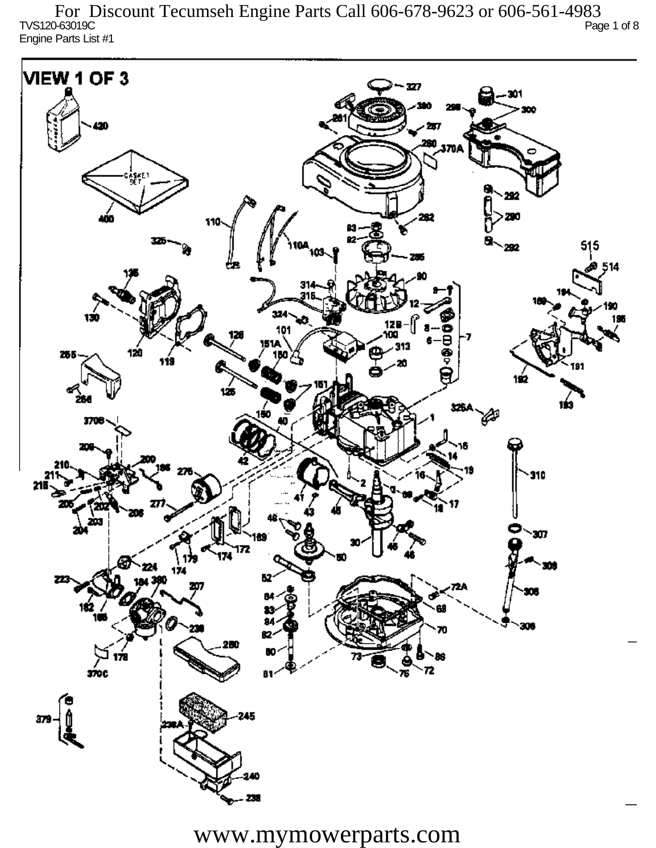TVS120-63019C Page 1 of 8 Engine Parts List #1 For Discount Tecumseh Engine Parts Call 606-678-9623 or 606-561-4983

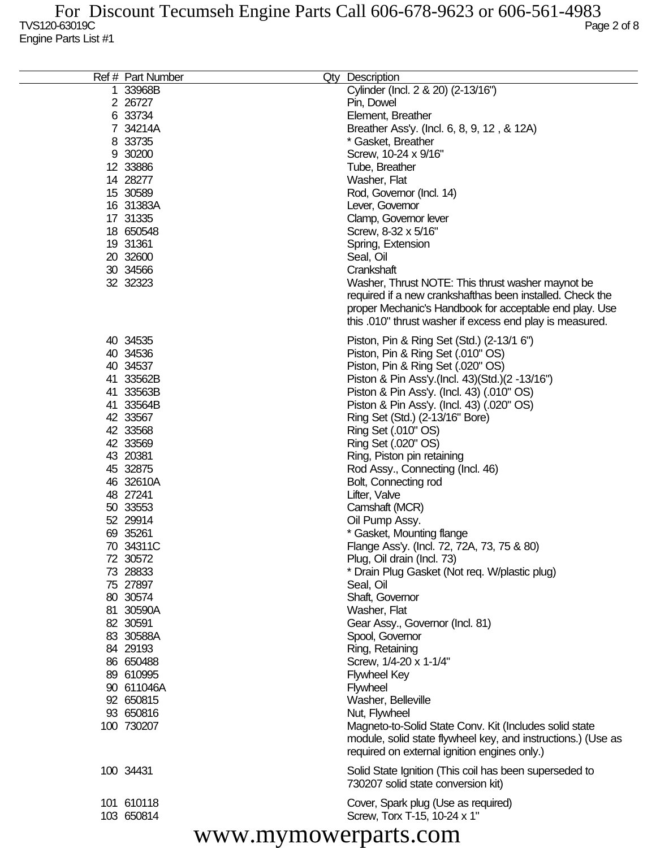| Ref # Part Number | Qty Description                                              |
|-------------------|--------------------------------------------------------------|
| 1 33968B          | Cylinder (Incl. 2 & 20) (2-13/16")                           |
| 2 26727           | Pin, Dowel                                                   |
| 6 33734           | Element, Breather                                            |
| 7 34214A          | Breather Ass'y. (Incl. 6, 8, 9, 12, & 12A)                   |
| 8 33735           | * Gasket, Breather                                           |
| 9 30200           | Screw, 10-24 x 9/16"                                         |
| 12 33886          | Tube, Breather                                               |
| 14 28277          | Washer, Flat                                                 |
| 15 30589          | Rod, Governor (Incl. 14)                                     |
| 16 31383A         |                                                              |
|                   | Lever, Governor                                              |
| 17 31335          | Clamp, Governor lever                                        |
| 18 650548         | Screw, 8-32 x 5/16"                                          |
| 19 31361          | Spring, Extension                                            |
| 20 32600          | Seal, Oil                                                    |
| 30 34566          | Crankshaft                                                   |
| 32 32323          | Washer, Thrust NOTE: This thrust washer maynot be            |
|                   | required if a new crankshafthas been installed. Check the    |
|                   | proper Mechanic's Handbook for acceptable end play. Use      |
|                   | this .010" thrust washer if excess end play is measured.     |
| 40 34535          |                                                              |
|                   | Piston, Pin & Ring Set (Std.) (2-13/1 6")                    |
| 40 34536          | Piston, Pin & Ring Set (.010" OS)                            |
| 40 34537          | Piston, Pin & Ring Set (.020" OS)                            |
| 41 33562B         | Piston & Pin Ass'y.(Incl. 43)(Std.)(2 -13/16")               |
| 41 33563B         | Piston & Pin Ass'y. (Incl. 43) (.010" OS)                    |
| 41 33564B         | Piston & Pin Ass'y. (Incl. 43) (.020" OS)                    |
| 42 33567          | Ring Set (Std.) (2-13/16" Bore)                              |
| 42 33568          | Ring Set (.010" OS)                                          |
| 42 33569          | Ring Set (.020" OS)                                          |
| 43 20381          | Ring, Piston pin retaining                                   |
| 45 32875          | Rod Assy., Connecting (Incl. 46)                             |
| 46 32610A         | Bolt, Connecting rod                                         |
| 48 27241          | Lifter, Valve                                                |
| 50 33553          | Camshaft (MCR)                                               |
| 52 29914          | Oil Pump Assy.                                               |
| 69 35261          | * Gasket, Mounting flange                                    |
| 70 34311C         | Flange Ass'y. (Incl. 72, 72A, 73, 75 & 80)                   |
| 72 30572          | Plug, Oil drain (Incl. 73)                                   |
| 73 28833          | * Drain Plug Gasket (Not req. W/plastic plug)                |
| 75 27897          | Seal, Oil                                                    |
| 80 30574          | Shaft, Governor                                              |
| 81 30590A         | Washer, Flat                                                 |
| 82 30591          | Gear Assy., Governor (Incl. 81)                              |
| 83 30588A         | Spool, Governor                                              |
| 84 29193          | Ring, Retaining                                              |
| 86 650488         | Screw, 1/4-20 x 1-1/4"                                       |
|                   |                                                              |
| 89 610995         | <b>Flywheel Key</b>                                          |
| 90 611046A        | <b>Flywheel</b>                                              |
| 92 650815         | Washer, Belleville                                           |
| 93 650816         | Nut, Flywheel                                                |
| 100 730207        | Magneto-to-Solid State Conv. Kit (Includes solid state       |
|                   | module, solid state flywheel key, and instructions.) (Use as |
|                   | required on external ignition engines only.)                 |
| 100 34431         | Solid State Ignition (This coil has been superseded to       |
|                   | 730207 solid state conversion kit)                           |
|                   |                                                              |
| 101 610118        | Cover, Spark plug (Use as required)                          |
| 103 650814        | Screw, Torx T-15, 10-24 x 1"                                 |
| $\mathbf{u}$      |                                                              |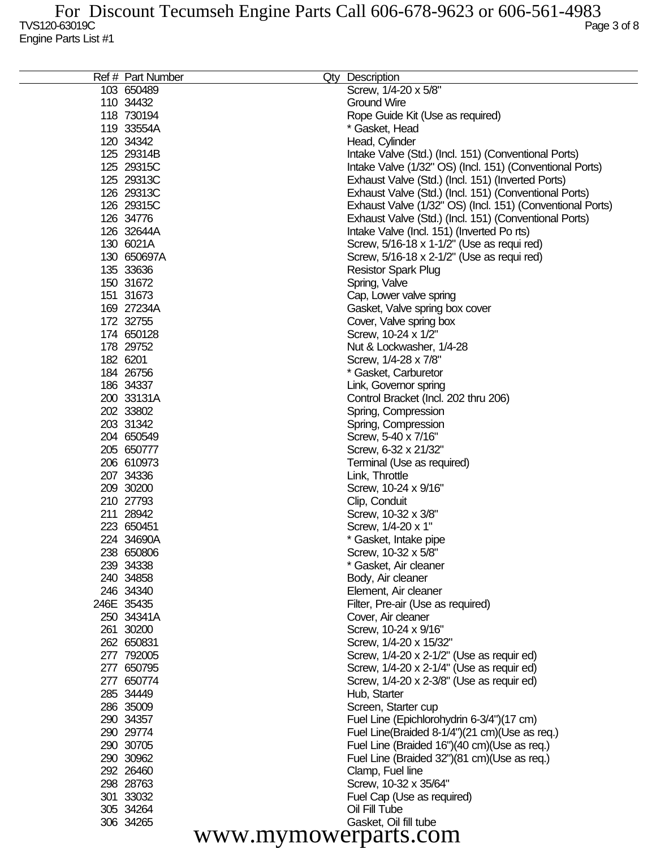| Ref # Part Number | Qty Description                                           |
|-------------------|-----------------------------------------------------------|
| 103 650489        | Screw, 1/4-20 x 5/8"                                      |
| 110 34432         | <b>Ground Wire</b>                                        |
| 118 730194        | Rope Guide Kit (Use as required)                          |
| 119 33554A        | * Gasket, Head                                            |
| 120 34342         | Head, Cylinder                                            |
| 125 29314B        | Intake Valve (Std.) (Incl. 151) (Conventional Ports)      |
| 125 29315C        | Intake Valve (1/32" OS) (Incl. 151) (Conventional Ports)  |
| 125 29313C        | Exhaust Valve (Std.) (Incl. 151) (Inverted Ports)         |
| 126 29313C        | Exhaust Valve (Std.) (Incl. 151) (Conventional Ports)     |
| 126 29315C        | Exhaust Valve (1/32" OS) (Incl. 151) (Conventional Ports) |
| 126 34776         | Exhaust Valve (Std.) (Incl. 151) (Conventional Ports)     |
| 126 32644A        |                                                           |
|                   | Intake Valve (Incl. 151) (Inverted Po rts)                |
| 130 6021A         | Screw, 5/16-18 x 1-1/2" (Use as requi red)                |
| 130 650697A       | Screw, 5/16-18 x 2-1/2" (Use as requi red)                |
| 135 33636         | <b>Resistor Spark Plug</b>                                |
| 150 31672         | Spring, Valve                                             |
| 151 31673         | Cap, Lower valve spring                                   |
| 169 27234A        | Gasket, Valve spring box cover                            |
| 172 32755         | Cover, Valve spring box                                   |
| 174 650128        | Screw, 10-24 x 1/2"                                       |
| 178 29752         | Nut & Lockwasher, 1/4-28                                  |
| 182 6201          | Screw, 1/4-28 x 7/8"                                      |
| 184 26756         | * Gasket, Carburetor                                      |
| 186 34337         | Link, Governor spring                                     |
| 200 33131A        | Control Bracket (Incl. 202 thru 206)                      |
| 202 33802         | Spring, Compression                                       |
| 203 31342         | Spring, Compression                                       |
| 204 650549        | Screw, 5-40 x 7/16"                                       |
| 205 650777        | Screw, 6-32 x 21/32"                                      |
| 206 610973        | Terminal (Use as required)                                |
| 207 34336         | Link, Throttle                                            |
| 209 30200         | Screw, 10-24 x 9/16"                                      |
| 210 27793         | Clip, Conduit                                             |
| 211 28942         | Screw, 10-32 x 3/8"                                       |
| 223 650451        | Screw, 1/4-20 x 1"                                        |
| 224 34690A        | * Gasket, Intake pipe                                     |
| 238 650806        | Screw, 10-32 x 5/8"                                       |
| 239 34338         | * Gasket, Air cleaner                                     |
| 240 34858         | Body, Air cleaner                                         |
| 246 34340         | Element, Air cleaner                                      |
| 246E 35435        | Filter, Pre-air (Use as required)                         |
| 250 34341A        | Cover, Air cleaner                                        |
| 261 30200         | Screw, 10-24 x 9/16"                                      |
| 262 650831        | Screw, 1/4-20 x 15/32"                                    |
| 277 792005        | Screw, 1/4-20 x 2-1/2" (Use as requir ed)                 |
| 277 650795        | Screw, 1/4-20 x 2-1/4" (Use as requir ed)                 |
| 277 650774        | Screw, 1/4-20 x 2-3/8" (Use as requir ed)                 |
| 285 34449         | Hub, Starter                                              |
| 286 35009         | Screen, Starter cup                                       |
| 290 34357         | Fuel Line (Epichlorohydrin 6-3/4")(17 cm)                 |
| 290 29774         | Fuel Line(Braided 8-1/4")(21 cm)(Use as req.)             |
| 290 30705         | Fuel Line (Braided 16")(40 cm)(Use as req.)               |
| 290 30962         | Fuel Line (Braided 32")(81 cm)(Use as req.)               |
| 292 26460         | Clamp, Fuel line                                          |
| 298 28763         | Screw, 10-32 x 35/64"                                     |
| 301 33032         | Fuel Cap (Use as required)                                |
| 305 34264         | Oil Fill Tube                                             |
| 306 34265         | Gasket, Oil fill tube                                     |
|                   |                                                           |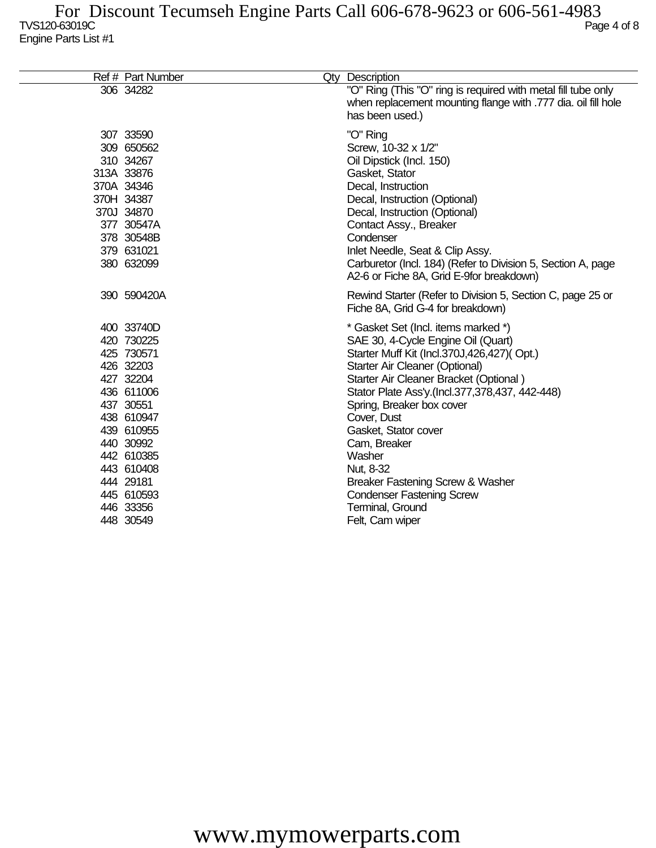| Ref # Part Number |                                                                                                                                                                                                                                                                                                                                                                                                           | <b>Qty Description</b>                                                                                                                                                                                                                                                                                                                                                                                                                                                          |
|-------------------|-----------------------------------------------------------------------------------------------------------------------------------------------------------------------------------------------------------------------------------------------------------------------------------------------------------------------------------------------------------------------------------------------------------|---------------------------------------------------------------------------------------------------------------------------------------------------------------------------------------------------------------------------------------------------------------------------------------------------------------------------------------------------------------------------------------------------------------------------------------------------------------------------------|
|                   |                                                                                                                                                                                                                                                                                                                                                                                                           | "O" Ring (This "O" ring is required with metal fill tube only<br>when replacement mounting flange with .777 dia. oil fill hole<br>has been used.)                                                                                                                                                                                                                                                                                                                               |
|                   |                                                                                                                                                                                                                                                                                                                                                                                                           | "O" Ring<br>Screw, 10-32 x 1/2"<br>Oil Dipstick (Incl. 150)<br>Gasket, Stator<br>Decal, Instruction<br>Decal, Instruction (Optional)<br>Decal, Instruction (Optional)<br>Contact Assy., Breaker<br>Condenser<br>Inlet Needle, Seat & Clip Assy.<br>Carburetor (Incl. 184) (Refer to Division 5, Section A, page<br>A2-6 or Fiche 8A, Grid E-9for breakdown)                                                                                                                     |
|                   |                                                                                                                                                                                                                                                                                                                                                                                                           | Rewind Starter (Refer to Division 5, Section C, page 25 or<br>Fiche 8A, Grid G-4 for breakdown)                                                                                                                                                                                                                                                                                                                                                                                 |
|                   |                                                                                                                                                                                                                                                                                                                                                                                                           | * Gasket Set (Incl. items marked *)<br>SAE 30, 4-Cycle Engine Oil (Quart)<br>Starter Muff Kit (Incl.370J,426,427)(Opt.)<br>Starter Air Cleaner (Optional)<br>Starter Air Cleaner Bracket (Optional)<br>Stator Plate Ass'y.(Incl.377,378,437, 442-448)<br>Spring, Breaker box cover<br>Cover, Dust<br>Gasket, Stator cover<br>Cam, Breaker<br>Washer<br>Nut, 8-32<br>Breaker Fastening Screw & Washer<br><b>Condenser Fastening Screw</b><br>Terminal, Ground<br>Felt, Cam wiper |
|                   | 306 34282<br>307 33590<br>309 650562<br>310 34267<br>313A 33876<br>370A 34346<br>370H 34387<br>370J 34870<br>377 30547A<br>378 30548B<br>379 631021<br>380 632099<br>390 590420A<br>400 33740D<br>420 730225<br>425 730571<br>426 32203<br>427 32204<br>436 611006<br>437 30551<br>438 610947<br>439 610955<br>440 30992<br>442 610385<br>443 610408<br>444 29181<br>445 610593<br>446 33356<br>448 30549 |                                                                                                                                                                                                                                                                                                                                                                                                                                                                                 |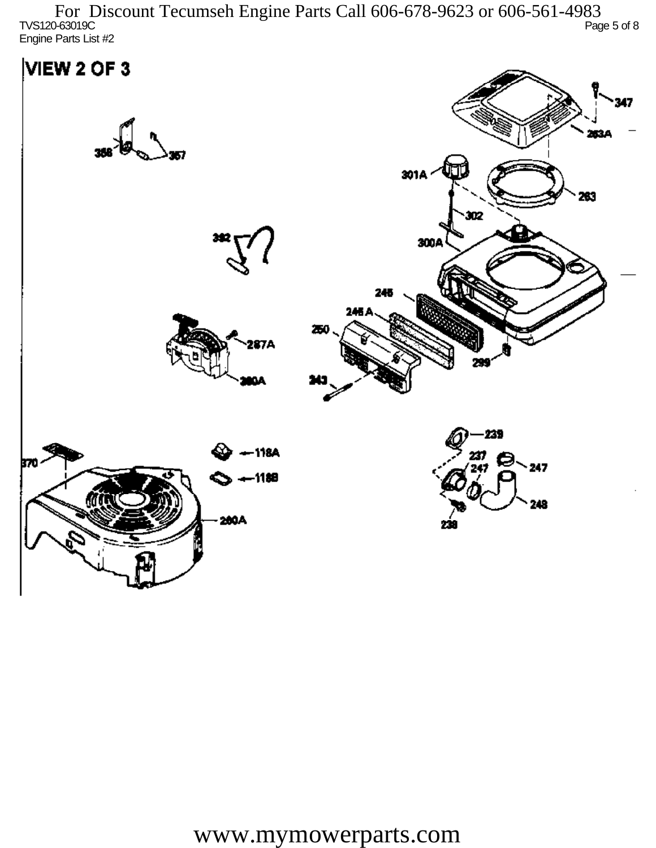TVS120-63019C Page 5 of 8 Engine Parts List #2 For Discount Tecumseh Engine Parts Call 606-678-9623 or 606-561-4983

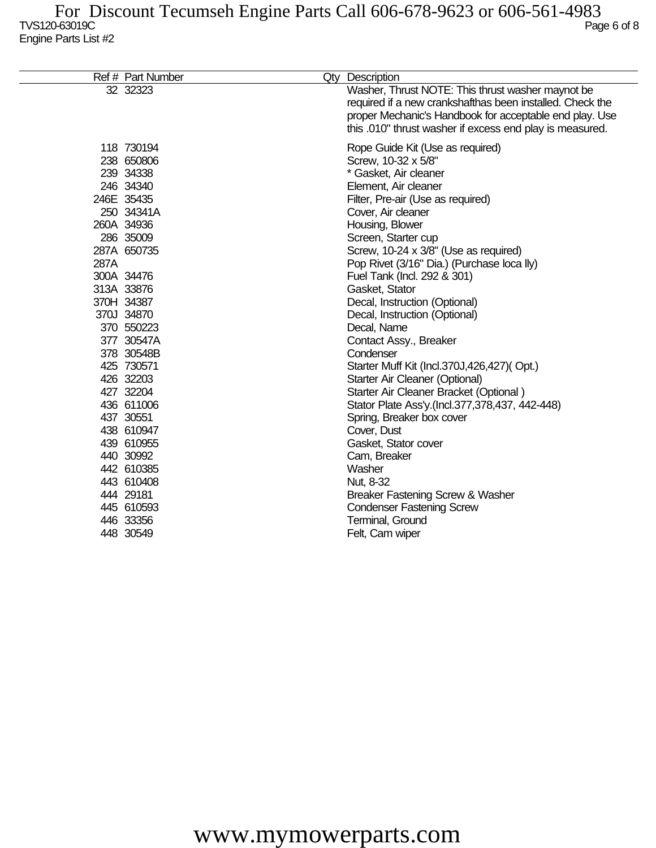|      | Ref # Part Number                                                                                                                      | Qty Description                                                                                                                                                                                                                                                                                                                     |
|------|----------------------------------------------------------------------------------------------------------------------------------------|-------------------------------------------------------------------------------------------------------------------------------------------------------------------------------------------------------------------------------------------------------------------------------------------------------------------------------------|
|      | 32 32323                                                                                                                               | Washer, Thrust NOTE: This thrust washer maynot be<br>required if a new crankshafthas been installed. Check the<br>proper Mechanic's Handbook for acceptable end play. Use<br>this .010" thrust washer if excess end play is measured.                                                                                               |
| 287A | 118 730194<br>238 650806<br>239 34338<br>246 34340<br>246E 35435<br>250 34341A<br>260A 34936<br>286 35009<br>287A 650735<br>300A 34476 | Rope Guide Kit (Use as required)<br>Screw, 10-32 x 5/8"<br>* Gasket, Air cleaner<br>Element, Air cleaner<br>Filter, Pre-air (Use as required)<br>Cover, Air cleaner<br>Housing, Blower<br>Screen, Starter cup<br>Screw, 10-24 x 3/8" (Use as required)<br>Pop Rivet (3/16" Dia.) (Purchase loca lly)<br>Fuel Tank (Incl. 292 & 301) |
|      | 313A 33876                                                                                                                             | Gasket, Stator                                                                                                                                                                                                                                                                                                                      |
|      | 370H 34387                                                                                                                             | Decal, Instruction (Optional)                                                                                                                                                                                                                                                                                                       |
|      | 370J 34870<br>370 550223                                                                                                               | Decal, Instruction (Optional)<br>Decal, Name                                                                                                                                                                                                                                                                                        |
|      | 377 30547A                                                                                                                             | Contact Assy., Breaker                                                                                                                                                                                                                                                                                                              |
|      | 378 30548B                                                                                                                             | Condenser                                                                                                                                                                                                                                                                                                                           |
|      | 425 730571                                                                                                                             | Starter Muff Kit (Incl.370J,426,427)(Opt.)                                                                                                                                                                                                                                                                                          |
|      | 426 32203                                                                                                                              | Starter Air Cleaner (Optional)                                                                                                                                                                                                                                                                                                      |
|      | 427 32204                                                                                                                              | Starter Air Cleaner Bracket (Optional)                                                                                                                                                                                                                                                                                              |
|      | 436 611006                                                                                                                             | Stator Plate Ass'y.(Incl.377,378,437, 442-448)                                                                                                                                                                                                                                                                                      |
|      | 437 30551                                                                                                                              | Spring, Breaker box cover                                                                                                                                                                                                                                                                                                           |
|      | 438 610947                                                                                                                             | Cover, Dust                                                                                                                                                                                                                                                                                                                         |
|      | 439 610955                                                                                                                             | Gasket, Stator cover                                                                                                                                                                                                                                                                                                                |
|      | 440 30992                                                                                                                              | Cam, Breaker                                                                                                                                                                                                                                                                                                                        |
|      | 442 610385                                                                                                                             | Washer                                                                                                                                                                                                                                                                                                                              |
|      | 443 610408                                                                                                                             | Nut, 8-32                                                                                                                                                                                                                                                                                                                           |
|      | 444 29181                                                                                                                              | Breaker Fastening Screw & Washer                                                                                                                                                                                                                                                                                                    |
|      | 445 610593                                                                                                                             | <b>Condenser Fastening Screw</b>                                                                                                                                                                                                                                                                                                    |
|      | 446 33356                                                                                                                              | Terminal, Ground                                                                                                                                                                                                                                                                                                                    |
|      | 448 30549                                                                                                                              | Felt, Cam wiper                                                                                                                                                                                                                                                                                                                     |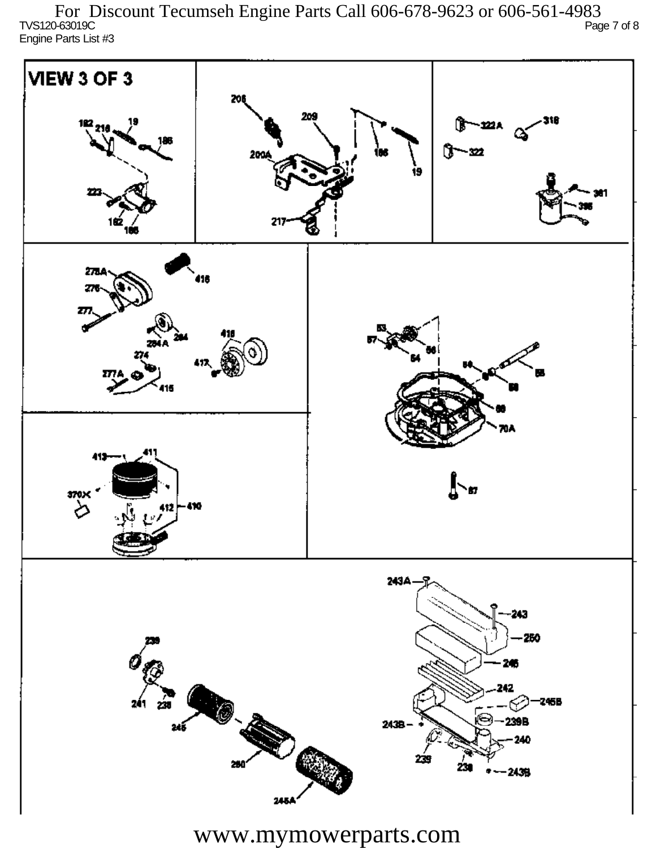TVS120-63019C Page 7 of 8 Engine Parts List #3 For Discount Tecumseh Engine Parts Call 606-678-9623 or 606-561-4983